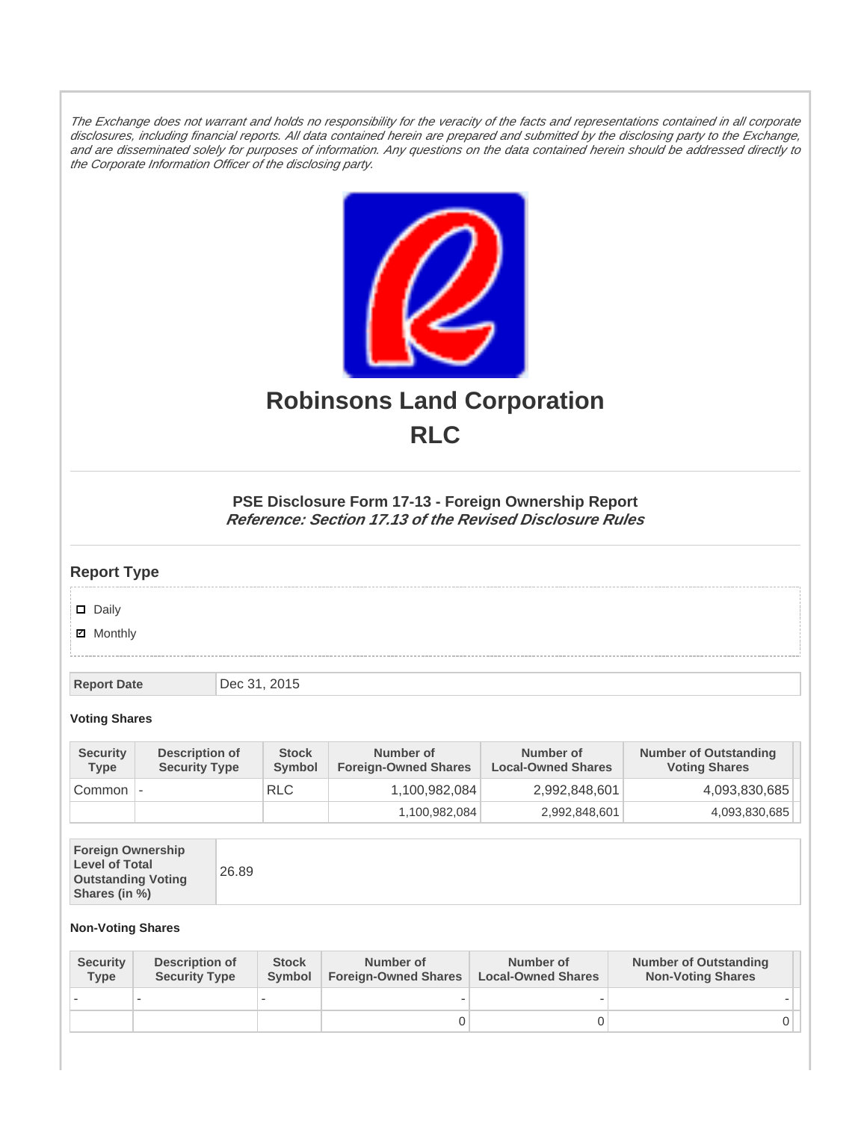The Exchange does not warrant and holds no responsibility for the veracity of the facts and representations contained in all corporate disclosures, including financial reports. All data contained herein are prepared and submitted by the disclosing party to the Exchange, and are disseminated solely for purposes of information. Any questions on the data contained herein should be addressed directly to the Corporate Information Officer of the disclosing party.



# **Robinsons Land Corporation RLC**

## **PSE Disclosure Form 17-13 - Foreign Ownership Report Reference: Section 17.13 of the Revised Disclosure Rules**

## **Report Type**

Daily

**Ø** Monthly

**Report Date Dec 31, 2015** 

#### **Voting Shares**

| <b>Security</b><br><b>Type</b> | Description of<br><b>Security Type</b> | <b>Stock</b><br>Symbol | Number of<br><b>Foreign-Owned Shares</b> | Number of<br><b>Local-Owned Shares</b> | <b>Number of Outstanding</b><br><b>Voting Shares</b> |
|--------------------------------|----------------------------------------|------------------------|------------------------------------------|----------------------------------------|------------------------------------------------------|
| Common                         | $\overline{\phantom{a}}$               | <b>RLC</b>             | 1,100,982,084                            | 2,992,848,601                          | 4,093,830,685                                        |
|                                |                                        |                        | 1,100,982,084                            | 2,992,848,601                          | 4,093,830,685                                        |

| <b>Foreign Ownership</b><br><b>Level of Total</b><br><b>Outstanding Voting</b><br>Shares (in %) |
|-------------------------------------------------------------------------------------------------|
|-------------------------------------------------------------------------------------------------|

### **Non-Voting Shares**

| <b>Security</b><br><b>Type</b> | Description of<br><b>Security Type</b> | <b>Stock</b><br>Symbol | Number of<br><b>Foreign-Owned Shares</b> | Number of<br><b>Local-Owned Shares</b> | <b>Number of Outstanding</b><br><b>Non-Voting Shares</b> |
|--------------------------------|----------------------------------------|------------------------|------------------------------------------|----------------------------------------|----------------------------------------------------------|
|                                |                                        |                        |                                          |                                        |                                                          |
|                                |                                        |                        |                                          |                                        | 0 I                                                      |